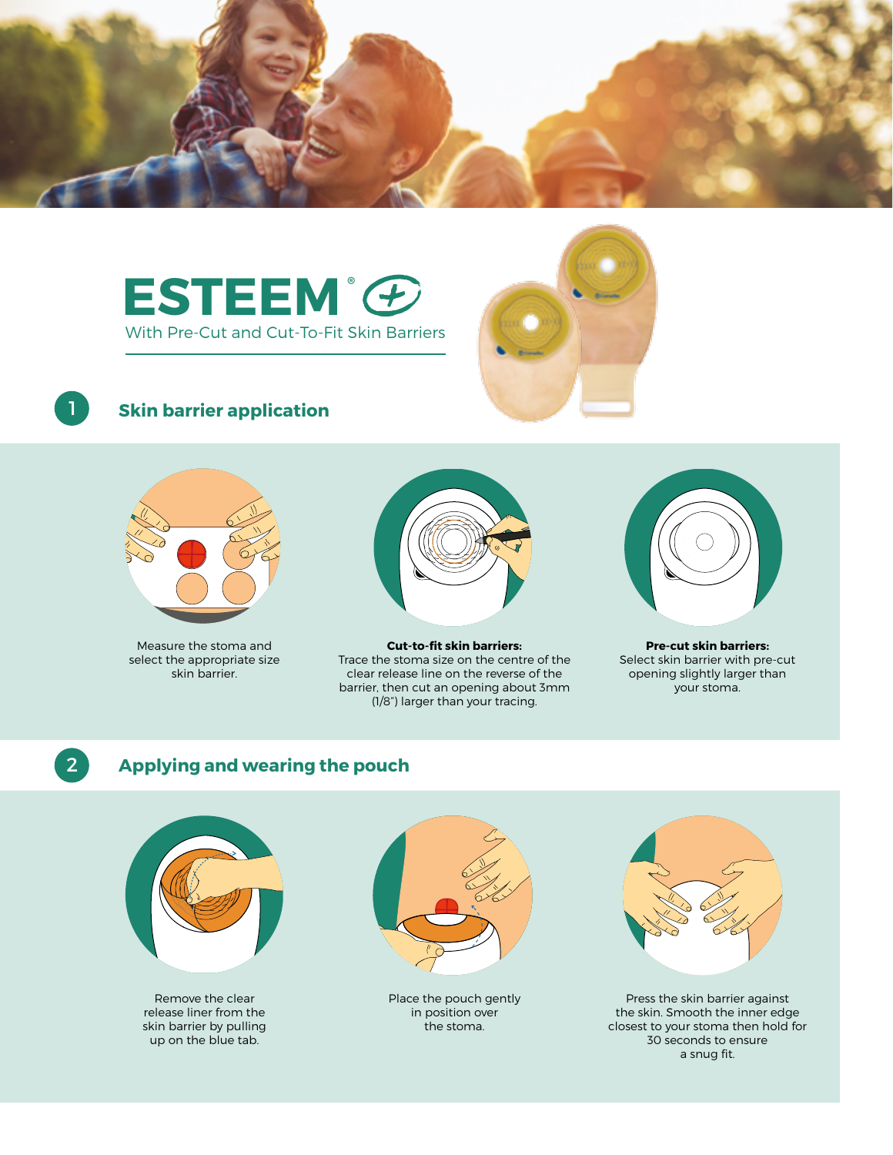

# **ESTEEM®** With Pre-Cut and Cut-To-Fit Skin Barriers



### **Skin barrier application**



Measure the stoma and select the appropriate size skin barrier.



**Cut-to-fit skin barriers:** Trace the stoma size on the centre of the clear release line on the reverse of the barrier, then cut an opening about 3mm (1/8") larger than your tracing.



**Pre-cut skin barriers:** Select skin barrier with pre-cut opening slightly larger than your stoma.



1

### **Applying and wearing the pouch**



Remove the clear release liner from the skin barrier by pulling up on the blue tab.



Place the pouch gently in position over the stoma.



Press the skin barrier against the skin. Smooth the inner edge closest to your stoma then hold for 30 seconds to ensure a snug fit.